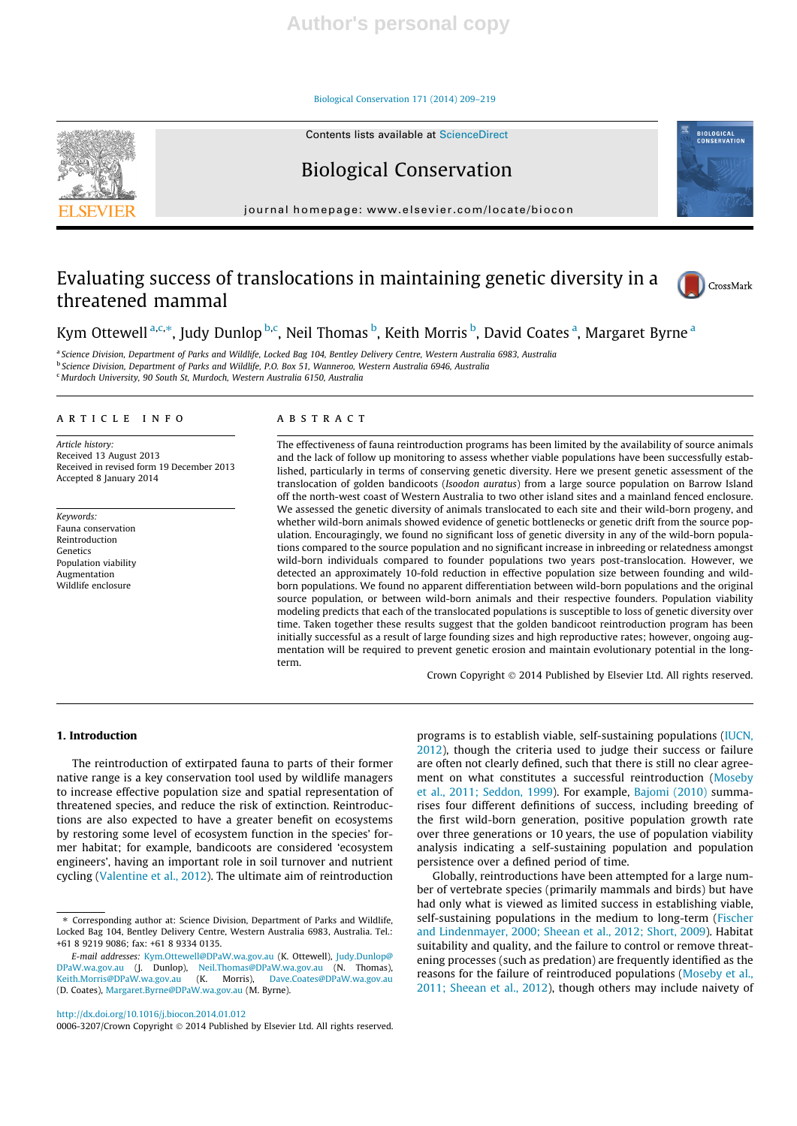#### Biological Conservation 171 (2014) 209–219

Contents lists available at ScienceDirect





journal homepage: www.elsevier.com/locate/biocon

# Evaluating success of translocations in maintaining genetic diversity in a threatened mammal



**BIOLOGICAL**<br>CONSERVATION

CrossMark

# Kym Ottewell <sup>a,c,</sup>\*, Judy Dunlop <sup>b,c</sup>, Neil Thomas <sup>b</sup>, Keith Morris <sup>b</sup>, David Coates <sup>a</sup>, Margaret Byrne <sup>a</sup>

a Science Division, Department of Parks and Wildlife, Locked Bag 104, Bentley Delivery Centre, Western Australia 6983, Australia b Science Division, Department of Parks and Wildlife, P.O. Box 51, Wanneroo, Western Australia 6946, Australia <sup>c</sup> Murdoch University, 90 South St, Murdoch, Western Australia 6150, Australia

# article info

Article history: Received 13 August 2013 Received in revised form 19 December 2013 Accepted 8 January 2014

Keywords: Fauna conservation Reintroduction Genetics Population viability Augmentation Wildlife enclosure

# **ABSTRACT**

The effectiveness of fauna reintroduction programs has been limited by the availability of source animals and the lack of follow up monitoring to assess whether viable populations have been successfully established, particularly in terms of conserving genetic diversity. Here we present genetic assessment of the translocation of golden bandicoots (Isoodon auratus) from a large source population on Barrow Island off the north-west coast of Western Australia to two other island sites and a mainland fenced enclosure. We assessed the genetic diversity of animals translocated to each site and their wild-born progeny, and whether wild-born animals showed evidence of genetic bottlenecks or genetic drift from the source population. Encouragingly, we found no significant loss of genetic diversity in any of the wild-born populations compared to the source population and no significant increase in inbreeding or relatedness amongst wild-born individuals compared to founder populations two years post-translocation. However, we detected an approximately 10-fold reduction in effective population size between founding and wildborn populations. We found no apparent differentiation between wild-born populations and the original source population, or between wild-born animals and their respective founders. Population viability modeling predicts that each of the translocated populations is susceptible to loss of genetic diversity over time. Taken together these results suggest that the golden bandicoot reintroduction program has been initially successful as a result of large founding sizes and high reproductive rates; however, ongoing augmentation will be required to prevent genetic erosion and maintain evolutionary potential in the longterm.

Crown Copyright © 2014 Published by Elsevier Ltd. All rights reserved.

# 1. Introduction

The reintroduction of extirpated fauna to parts of their former native range is a key conservation tool used by wildlife managers to increase effective population size and spatial representation of threatened species, and reduce the risk of extinction. Reintroductions are also expected to have a greater benefit on ecosystems by restoring some level of ecosystem function in the species' former habitat; for example, bandicoots are considered 'ecosystem engineers', having an important role in soil turnover and nutrient cycling (Valentine et al., 2012). The ultimate aim of reintroduction

http://dx.doi.org/10.1016/j.biocon.2014.01.012

programs is to establish viable, self-sustaining populations (IUCN, 2012), though the criteria used to judge their success or failure are often not clearly defined, such that there is still no clear agreement on what constitutes a successful reintroduction (Moseby et al., 2011; Seddon, 1999). For example, Bajomi (2010) summarises four different definitions of success, including breeding of the first wild-born generation, positive population growth rate over three generations or 10 years, the use of population viability analysis indicating a self-sustaining population and population persistence over a defined period of time.

Globally, reintroductions have been attempted for a large number of vertebrate species (primarily mammals and birds) but have had only what is viewed as limited success in establishing viable, self-sustaining populations in the medium to long-term (Fischer and Lindenmayer, 2000; Sheean et al., 2012; Short, 2009). Habitat suitability and quality, and the failure to control or remove threatening processes (such as predation) are frequently identified as the reasons for the failure of reintroduced populations (Moseby et al., 2011; Sheean et al., 2012), though others may include naivety of

<sup>⇑</sup> Corresponding author at: Science Division, Department of Parks and Wildlife, Locked Bag 104, Bentley Delivery Centre, Western Australia 6983, Australia. Tel.: +61 8 9219 9086; fax: +61 8 9334 0135.

E-mail addresses: Kym.Ottewell@DPaW.wa.gov.au (K. Ottewell), Judy.Dunlop@ DPaW.wa.gov.au (J. Dunlop), Neil.Thomas@DPaW.wa.gov.au (N. Thomas), Keith.Morris@DPaW.wa.gov.au (K. Morris), Dave.Coates@DPaW.wa.gov.au (D. Coates), Margaret.Byrne@DPaW.wa.gov.au (M. Byrne).

<sup>0006-3207/</sup>Crown Copyright © 2014 Published by Elsevier Ltd. All rights reserved.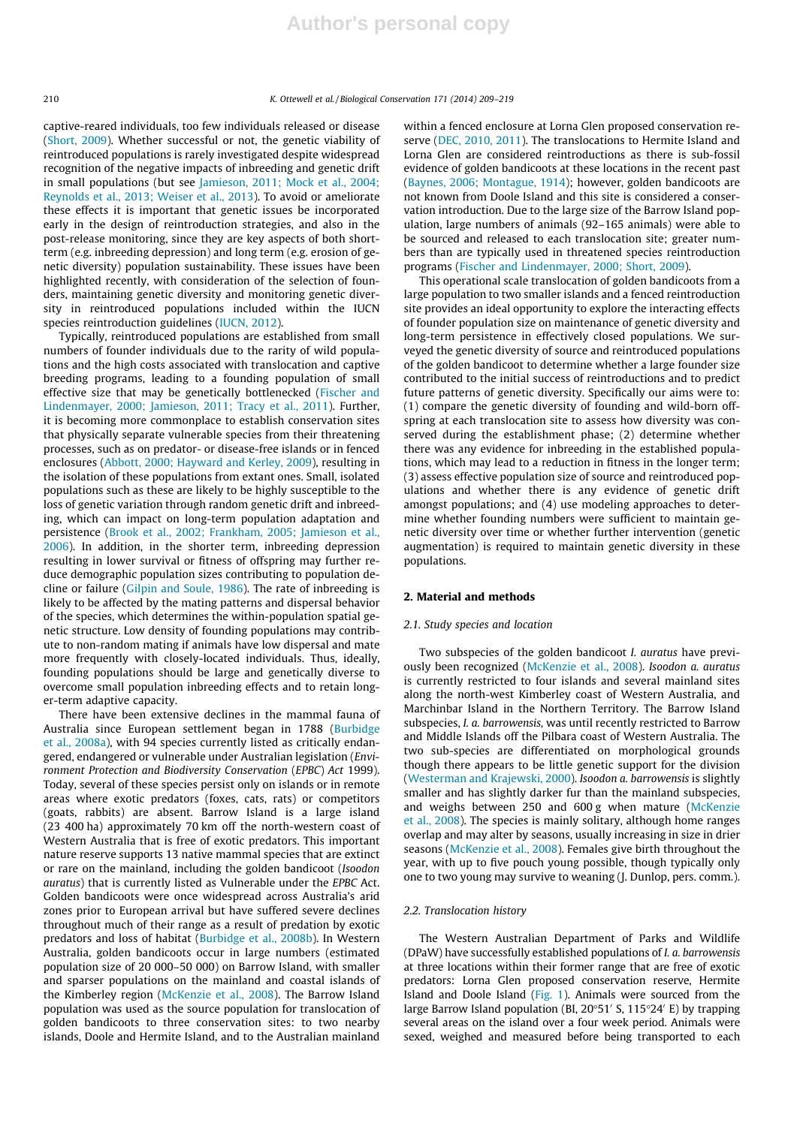captive-reared individuals, too few individuals released or disease (Short, 2009). Whether successful or not, the genetic viability of reintroduced populations is rarely investigated despite widespread recognition of the negative impacts of inbreeding and genetic drift in small populations (but see Jamieson, 2011; Mock et al., 2004; Reynolds et al., 2013; Weiser et al., 2013). To avoid or ameliorate these effects it is important that genetic issues be incorporated early in the design of reintroduction strategies, and also in the post-release monitoring, since they are key aspects of both shortterm (e.g. inbreeding depression) and long term (e.g. erosion of genetic diversity) population sustainability. These issues have been highlighted recently, with consideration of the selection of founders, maintaining genetic diversity and monitoring genetic diversity in reintroduced populations included within the IUCN species reintroduction guidelines (IUCN, 2012).

Typically, reintroduced populations are established from small numbers of founder individuals due to the rarity of wild populations and the high costs associated with translocation and captive breeding programs, leading to a founding population of small effective size that may be genetically bottlenecked (Fischer and Lindenmayer, 2000; Jamieson, 2011; Tracy et al., 2011). Further, it is becoming more commonplace to establish conservation sites that physically separate vulnerable species from their threatening processes, such as on predator- or disease-free islands or in fenced enclosures (Abbott, 2000; Hayward and Kerley, 2009), resulting in the isolation of these populations from extant ones. Small, isolated populations such as these are likely to be highly susceptible to the loss of genetic variation through random genetic drift and inbreeding, which can impact on long-term population adaptation and persistence (Brook et al., 2002; Frankham, 2005; Jamieson et al., 2006). In addition, in the shorter term, inbreeding depression resulting in lower survival or fitness of offspring may further reduce demographic population sizes contributing to population decline or failure (Gilpin and Soule, 1986). The rate of inbreeding is likely to be affected by the mating patterns and dispersal behavior of the species, which determines the within-population spatial genetic structure. Low density of founding populations may contribute to non-random mating if animals have low dispersal and mate more frequently with closely-located individuals. Thus, ideally, founding populations should be large and genetically diverse to overcome small population inbreeding effects and to retain longer-term adaptive capacity.

There have been extensive declines in the mammal fauna of Australia since European settlement began in 1788 (Burbidge et al., 2008a), with 94 species currently listed as critically endangered, endangered or vulnerable under Australian legislation (Environment Protection and Biodiversity Conservation (EPBC) Act 1999). Today, several of these species persist only on islands or in remote areas where exotic predators (foxes, cats, rats) or competitors (goats, rabbits) are absent. Barrow Island is a large island (23 400 ha) approximately 70 km off the north-western coast of Western Australia that is free of exotic predators. This important nature reserve supports 13 native mammal species that are extinct or rare on the mainland, including the golden bandicoot (Isoodon auratus) that is currently listed as Vulnerable under the EPBC Act. Golden bandicoots were once widespread across Australia's arid zones prior to European arrival but have suffered severe declines throughout much of their range as a result of predation by exotic predators and loss of habitat (Burbidge et al., 2008b). In Western Australia, golden bandicoots occur in large numbers (estimated population size of 20 000–50 000) on Barrow Island, with smaller and sparser populations on the mainland and coastal islands of the Kimberley region (McKenzie et al., 2008). The Barrow Island population was used as the source population for translocation of golden bandicoots to three conservation sites: to two nearby islands, Doole and Hermite Island, and to the Australian mainland within a fenced enclosure at Lorna Glen proposed conservation reserve (DEC, 2010, 2011). The translocations to Hermite Island and Lorna Glen are considered reintroductions as there is sub-fossil evidence of golden bandicoots at these locations in the recent past (Baynes, 2006; Montague, 1914); however, golden bandicoots are not known from Doole Island and this site is considered a conservation introduction. Due to the large size of the Barrow Island population, large numbers of animals (92–165 animals) were able to be sourced and released to each translocation site; greater numbers than are typically used in threatened species reintroduction programs (Fischer and Lindenmayer, 2000; Short, 2009).

This operational scale translocation of golden bandicoots from a large population to two smaller islands and a fenced reintroduction site provides an ideal opportunity to explore the interacting effects of founder population size on maintenance of genetic diversity and long-term persistence in effectively closed populations. We surveyed the genetic diversity of source and reintroduced populations of the golden bandicoot to determine whether a large founder size contributed to the initial success of reintroductions and to predict future patterns of genetic diversity. Specifically our aims were to: (1) compare the genetic diversity of founding and wild-born offspring at each translocation site to assess how diversity was conserved during the establishment phase; (2) determine whether there was any evidence for inbreeding in the established populations, which may lead to a reduction in fitness in the longer term; (3) assess effective population size of source and reintroduced populations and whether there is any evidence of genetic drift amongst populations; and (4) use modeling approaches to determine whether founding numbers were sufficient to maintain genetic diversity over time or whether further intervention (genetic augmentation) is required to maintain genetic diversity in these populations.

# 2. Material and methods

## 2.1. Study species and location

Two subspecies of the golden bandicoot I. auratus have previously been recognized (McKenzie et al., 2008). Isoodon a. auratus is currently restricted to four islands and several mainland sites along the north-west Kimberley coast of Western Australia, and Marchinbar Island in the Northern Territory. The Barrow Island subspecies, I. a. barrowensis, was until recently restricted to Barrow and Middle Islands off the Pilbara coast of Western Australia. The two sub-species are differentiated on morphological grounds though there appears to be little genetic support for the division (Westerman and Krajewski, 2000). Isoodon a. barrowensis is slightly smaller and has slightly darker fur than the mainland subspecies, and weighs between 250 and 600 g when mature (McKenzie et al., 2008). The species is mainly solitary, although home ranges overlap and may alter by seasons, usually increasing in size in drier seasons (McKenzie et al., 2008). Females give birth throughout the year, with up to five pouch young possible, though typically only one to two young may survive to weaning (J. Dunlop, pers. comm.).

#### 2.2. Translocation history

The Western Australian Department of Parks and Wildlife (DPaW) have successfully established populations of I. a. barrowensis at three locations within their former range that are free of exotic predators: Lorna Glen proposed conservation reserve, Hermite Island and Doole Island (Fig. 1). Animals were sourced from the large Barrow Island population (BI,  $20°51'$  S,  $115°24'$  E) by trapping several areas on the island over a four week period. Animals were sexed, weighed and measured before being transported to each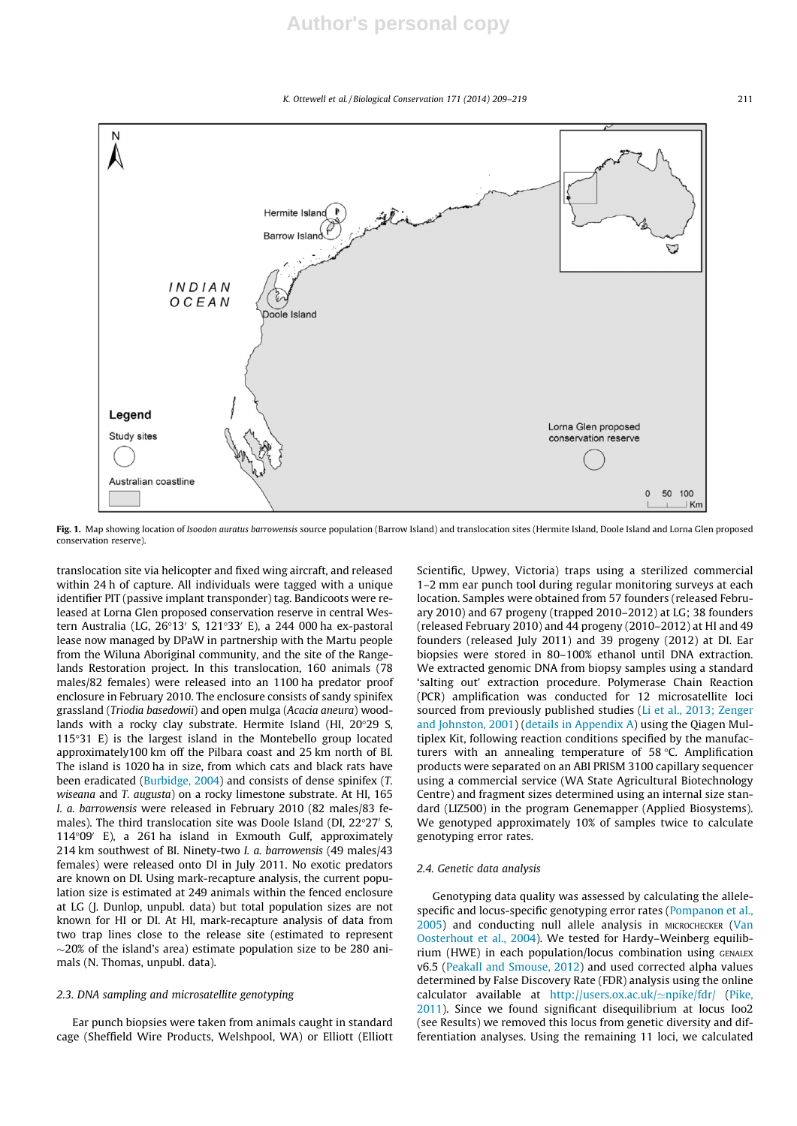

Fig. 1. Map showing location of Isoodon auratus barrowensis source population (Barrow Island) and translocation sites (Hermite Island, Doole Island and Lorna Glen proposed conservation reserve).

translocation site via helicopter and fixed wing aircraft, and released within 24 h of capture. All individuals were tagged with a unique identifier PIT (passive implant transponder) tag. Bandicoots were released at Lorna Glen proposed conservation reserve in central Western Australia (LG,  $26^{\circ}13'$  S,  $121^{\circ}33'$  E), a 244 000 ha ex-pastoral lease now managed by DPaW in partnership with the Martu people from the Wiluna Aboriginal community, and the site of the Rangelands Restoration project. In this translocation, 160 animals (78 males/82 females) were released into an 1100 ha predator proof enclosure in February 2010. The enclosure consists of sandy spinifex grassland (Triodia basedowii) and open mulga (Acacia aneura) woodlands with a rocky clay substrate. Hermite Island (HI,  $20^{\circ}29$  S,  $115°31$  E) is the largest island in the Montebello group located approximately100 km off the Pilbara coast and 25 km north of BI. The island is 1020 ha in size, from which cats and black rats have been eradicated (Burbidge, 2004) and consists of dense spinifex (T. wiseana and T. augusta) on a rocky limestone substrate. At HI, 165 I. a. barrowensis were released in February 2010 (82 males/83 females). The third translocation site was Doole Island (DI,  $22^{\circ}27'$  S,  $114°09'$  E), a 261 ha island in Exmouth Gulf, approximately 214 km southwest of BI. Ninety-two I. a. barrowensis (49 males/43 females) were released onto DI in July 2011. No exotic predators are known on DI. Using mark-recapture analysis, the current population size is estimated at 249 animals within the fenced enclosure at LG (J. Dunlop, unpubl. data) but total population sizes are not known for HI or DI. At HI, mark-recapture analysis of data from two trap lines close to the release site (estimated to represent  $\sim$ 20% of the island's area) estimate population size to be 280 animals (N. Thomas, unpubl. data).

# 2.3. DNA sampling and microsatellite genotyping

Ear punch biopsies were taken from animals caught in standard cage (Sheffield Wire Products, Welshpool, WA) or Elliott (Elliott Scientific, Upwey, Victoria) traps using a sterilized commercial 1–2 mm ear punch tool during regular monitoring surveys at each location. Samples were obtained from 57 founders (released February 2010) and 67 progeny (trapped 2010–2012) at LG; 38 founders (released February 2010) and 44 progeny (2010–2012) at HI and 49 founders (released July 2011) and 39 progeny (2012) at DI. Ear biopsies were stored in 80–100% ethanol until DNA extraction. We extracted genomic DNA from biopsy samples using a standard 'salting out' extraction procedure. Polymerase Chain Reaction (PCR) amplification was conducted for 12 microsatellite loci sourced from previously published studies (Li et al., 2013; Zenger and Johnston, 2001) (details in Appendix A) using the Qiagen Multiplex Kit, following reaction conditions specified by the manufacturers with an annealing temperature of  $58$  °C. Amplification products were separated on an ABI PRISM 3100 capillary sequencer using a commercial service (WA State Agricultural Biotechnology Centre) and fragment sizes determined using an internal size standard (LIZ500) in the program Genemapper (Applied Biosystems). We genotyped approximately 10% of samples twice to calculate genotyping error rates.

## 2.4. Genetic data analysis

Genotyping data quality was assessed by calculating the allelespecific and locus-specific genotyping error rates (Pompanon et al., 2005) and conducting null allele analysis in MICROCHECKER (Van Oosterhout et al., 2004). We tested for Hardy–Weinberg equilibrium (HWE) in each population/locus combination using GENALEX v6.5 (Peakall and Smouse, 2012) and used corrected alpha values determined by False Discovery Rate (FDR) analysis using the online calculator available at  $http://users.ox.ac.uk/~npike/fdr/$  (Pike, 2011). Since we found significant disequilibrium at locus Ioo2 (see Results) we removed this locus from genetic diversity and differentiation analyses. Using the remaining 11 loci, we calculated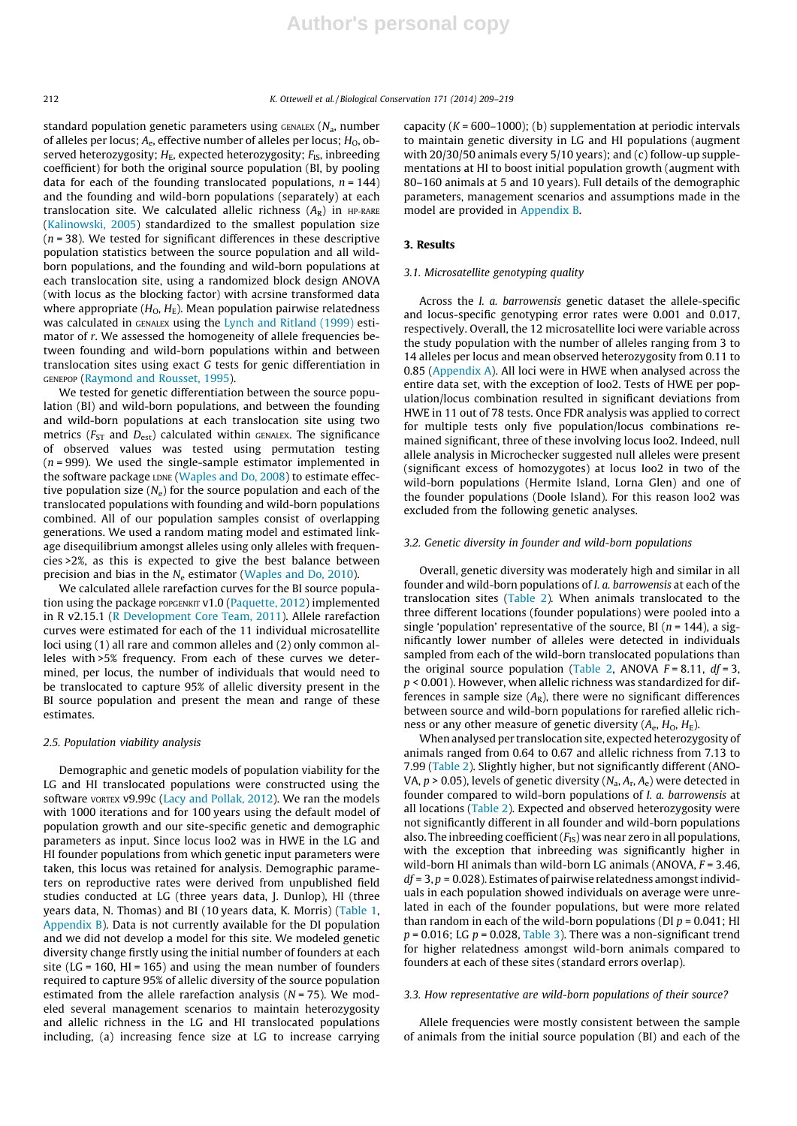standard population genetic parameters using  $G_{\text{EMALEX}}$  ( $N_a$ , number of alleles per locus;  $A_e$ , effective number of alleles per locus;  $H_0$ , observed heterozygosity;  $H<sub>E</sub>$ , expected heterozygosity;  $F<sub>IS</sub>$ , inbreeding coefficient) for both the original source population (BI, by pooling data for each of the founding translocated populations,  $n = 144$ ) and the founding and wild-born populations (separately) at each translocation site. We calculated allelic richness  $(A_R)$  in HP-RARE (Kalinowski, 2005) standardized to the smallest population size  $(n = 38)$ . We tested for significant differences in these descriptive population statistics between the source population and all wildborn populations, and the founding and wild-born populations at each translocation site, using a randomized block design ANOVA (with locus as the blocking factor) with acrsine transformed data where appropriate  $(H_0, H_E)$ . Mean population pairwise relatedness was calculated in GENALEX using the Lynch and Ritland (1999) estimator of r. We assessed the homogeneity of allele frequencies between founding and wild-born populations within and between translocation sites using exact G tests for genic differentiation in GENEPOP (Raymond and Rousset, 1995).

We tested for genetic differentiation between the source population (BI) and wild-born populations, and between the founding and wild-born populations at each translocation site using two metrics ( $F_{ST}$  and  $D_{est}$ ) calculated within GENALEX. The significance of observed values was tested using permutation testing  $(n = 999)$ . We used the single-sample estimator implemented in the software package LDNE (Waples and Do, 2008) to estimate effective population size  $(N_e)$  for the source population and each of the translocated populations with founding and wild-born populations combined. All of our population samples consist of overlapping generations. We used a random mating model and estimated linkage disequilibrium amongst alleles using only alleles with frequencies >2%, as this is expected to give the best balance between precision and bias in the  $N_e$  estimator (Waples and Do, 2010).

We calculated allele rarefaction curves for the BI source population using the package POPGENKIT  $v1.0$  (Paquette, 2012) implemented in R v2.15.1 (R Development Core Team, 2011). Allele rarefaction curves were estimated for each of the 11 individual microsatellite loci using (1) all rare and common alleles and (2) only common alleles with >5% frequency. From each of these curves we determined, per locus, the number of individuals that would need to be translocated to capture 95% of allelic diversity present in the BI source population and present the mean and range of these estimates.

# 2.5. Population viability analysis

Demographic and genetic models of population viability for the LG and HI translocated populations were constructed using the software vortex v9.99c (Lacy and Pollak, 2012). We ran the models with 1000 iterations and for 100 years using the default model of population growth and our site-specific genetic and demographic parameters as input. Since locus Ioo2 was in HWE in the LG and HI founder populations from which genetic input parameters were taken, this locus was retained for analysis. Demographic parameters on reproductive rates were derived from unpublished field studies conducted at LG (three years data, J. Dunlop), HI (three years data, N. Thomas) and BI (10 years data, K. Morris) (Table 1, Appendix B). Data is not currently available for the DI population and we did not develop a model for this site. We modeled genetic diversity change firstly using the initial number of founders at each site (LG = 160, HI = 165) and using the mean number of founders required to capture 95% of allelic diversity of the source population estimated from the allele rarefaction analysis ( $N = 75$ ). We modeled several management scenarios to maintain heterozygosity and allelic richness in the LG and HI translocated populations including, (a) increasing fence size at LG to increase carrying

capacity ( $K = 600-1000$ ); (b) supplementation at periodic intervals to maintain genetic diversity in LG and HI populations (augment with 20/30/50 animals every 5/10 years); and (c) follow-up supplementations at HI to boost initial population growth (augment with 80–160 animals at 5 and 10 years). Full details of the demographic parameters, management scenarios and assumptions made in the model are provided in Appendix B.

# 3. Results

## 3.1. Microsatellite genotyping quality

Across the I. a. barrowensis genetic dataset the allele-specific and locus-specific genotyping error rates were 0.001 and 0.017, respectively. Overall, the 12 microsatellite loci were variable across the study population with the number of alleles ranging from 3 to 14 alleles per locus and mean observed heterozygosity from 0.11 to 0.85 (Appendix A). All loci were in HWE when analysed across the entire data set, with the exception of Ioo2. Tests of HWE per population/locus combination resulted in significant deviations from HWE in 11 out of 78 tests. Once FDR analysis was applied to correct for multiple tests only five population/locus combinations remained significant, three of these involving locus Ioo2. Indeed, null allele analysis in Microchecker suggested null alleles were present (significant excess of homozygotes) at locus Ioo2 in two of the wild-born populations (Hermite Island, Lorna Glen) and one of the founder populations (Doole Island). For this reason Ioo2 was excluded from the following genetic analyses.

#### 3.2. Genetic diversity in founder and wild-born populations

Overall, genetic diversity was moderately high and similar in all founder and wild-born populations of I. a. barrowensis at each of the translocation sites (Table 2). When animals translocated to the three different locations (founder populations) were pooled into a single 'population' representative of the source, BI ( $n = 144$ ), a significantly lower number of alleles were detected in individuals sampled from each of the wild-born translocated populations than the original source population (Table 2, ANOVA  $F = 8.11$ ,  $df = 3$ ,  $p$  < 0.001). However, when allelic richness was standardized for differences in sample size  $(A_R)$ , there were no significant differences between source and wild-born populations for rarefied allelic richness or any other measure of genetic diversity  $(A_e, H_o, H_E)$ .

When analysed per translocation site, expected heterozygosity of animals ranged from 0.64 to 0.67 and allelic richness from 7.13 to 7.99 (Table 2). Slightly higher, but not significantly different (ANO-VA,  $p > 0.05$ ), levels of genetic diversity ( $N_a$ ,  $A_r$ ,  $A_e$ ) were detected in founder compared to wild-born populations of I. a. barrowensis at all locations (Table 2). Expected and observed heterozygosity were not significantly different in all founder and wild-born populations also. The inbreeding coefficient  $(F_{IS})$  was near zero in all populations, with the exception that inbreeding was significantly higher in wild-born HI animals than wild-born LG animals (ANOVA,  $F = 3.46$ ,  $df = 3$ ,  $p = 0.028$ ). Estimates of pairwise relatedness amongst individuals in each population showed individuals on average were unrelated in each of the founder populations, but were more related than random in each of the wild-born populations (DI  $p = 0.041$ ; HI  $p = 0.016$ ; LG  $p = 0.028$ . Table 3). There was a non-significant trend for higher relatedness amongst wild-born animals compared to founders at each of these sites (standard errors overlap).

## 3.3. How representative are wild-born populations of their source?

Allele frequencies were mostly consistent between the sample of animals from the initial source population (BI) and each of the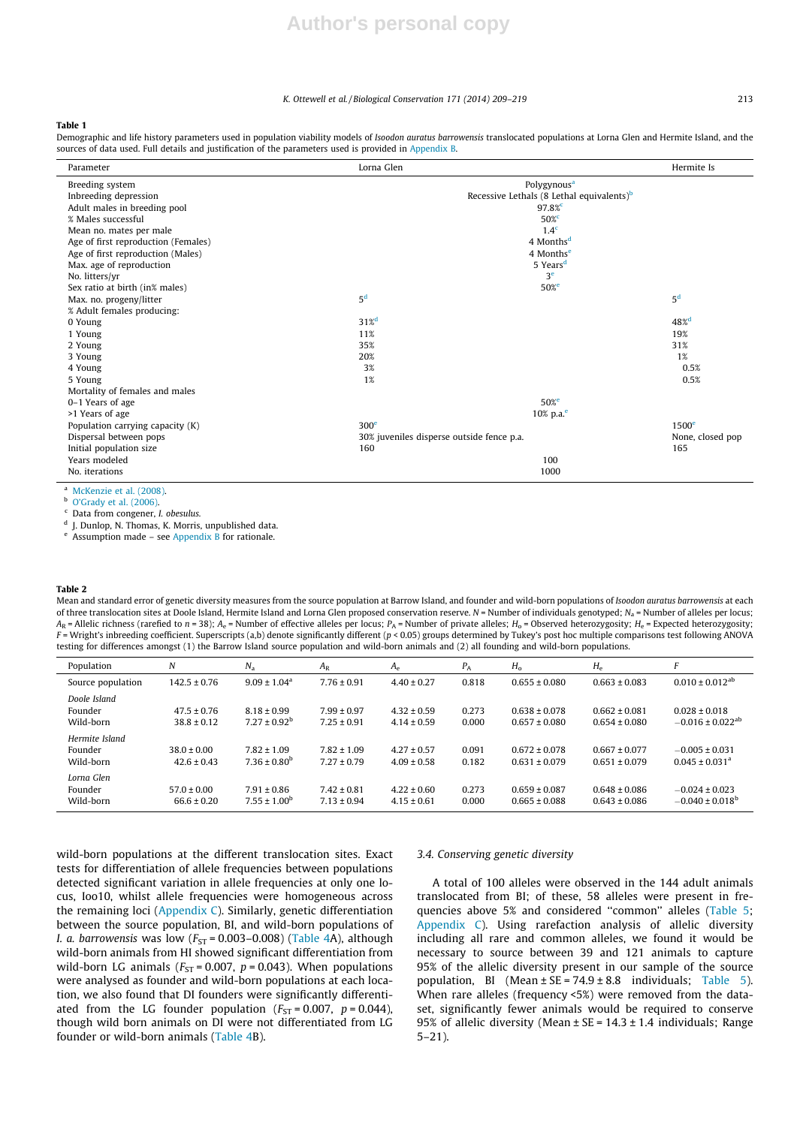#### Table 1

Demographic and life history parameters used in population viability models of Isoodon auratus barrowensis translocated populations at Lorna Glen and Hermite Island, and the sources of data used. Full details and justification of the parameters used is provided in Appendix B.

| Parameter                           | Lorna Glen                                            | Hermite Is          |
|-------------------------------------|-------------------------------------------------------|---------------------|
| Breeding system                     | Polygynous <sup>a</sup>                               |                     |
| Inbreeding depression               | Recessive Lethals (8 Lethal equivalents) <sup>b</sup> |                     |
| Adult males in breeding pool        | 97.8%                                                 |                     |
| % Males successful                  | $50\%$                                                |                     |
| Mean no. mates per male             | 1.4 <sup>c</sup>                                      |                     |
| Age of first reproduction (Females) | 4 Months <sup>d</sup>                                 |                     |
| Age of first reproduction (Males)   | 4 Months <sup>e</sup>                                 |                     |
| Max. age of reproduction            | 5 Years <sup>d</sup>                                  |                     |
| No. litters/yr                      | 3 <sup>e</sup>                                        |                     |
| Sex ratio at birth (in% males)      | $50\%$ <sup>e</sup>                                   |                     |
| Max. no. progeny/litter             | 5 <sup>d</sup>                                        | 5 <sup>d</sup>      |
| % Adult females producing:          |                                                       |                     |
| 0 Young                             | $31\%$ <sup>d</sup>                                   | $48\%$ <sup>d</sup> |
| 1 Young                             | 11%                                                   | 19%                 |
| 2 Young                             | 35%                                                   | 31%                 |
| 3 Young                             | 20%                                                   | 1%                  |
| 4 Young                             | 3%                                                    | 0.5%                |
| 5 Young                             | 1%                                                    | 0.5%                |
| Mortality of females and males      |                                                       |                     |
| 0-1 Years of age                    | $50\%$ <sup>e</sup>                                   |                     |
| >1 Years of age                     | 10% p.a. $^{\rm e}$                                   |                     |
| Population carrying capacity (K)    | 300 <sup>e</sup>                                      | 1500 <sup>e</sup>   |
| Dispersal between pops              | 30% juveniles disperse outside fence p.a.             | None, closed pop    |
| Initial population size             | 160                                                   | 165                 |
| Years modeled                       | 100                                                   |                     |
| No. iterations                      | 1000                                                  |                     |

<sup>a</sup> McKenzie et al. (2008).

<sup>b</sup> O'Grady et al. (2006).

<sup>c</sup> Data from congener, I. obesulus.

 $d$  J. Dunlop, N. Thomas, K. Morris, unpublished data.

<sup>e</sup> Assumption made – see Appendix B for rationale.

#### Table 2

Mean and standard error of genetic diversity measures from the source population at Barrow Island, and founder and wild-born populations of Isoodon auratus barrowensis at each of three translocation sites at Doole Island, Hermite Island and Lorna Glen proposed conservation reserve.  $N =$  Number of individuals genotyped;  $N_s =$  Number of alleles per locus;  $A_R$  = Allelic richness (rarefied to  $n = 38$ );  $A_e$  = Number of effective alleles per locus;  $P_A$  = Number of private alleles;  $H_0$  = Observed heterozygosity;  $H_e$  = Expected heterozygosity;  $F =$  Wright's inbreeding coefficient. Superscripts (a,b) denote significantly different ( $p < 0.05$ ) groups determined by Tukey's post hoc multiple comparisons test following ANOVA testing for differences amongst (1) the Barrow Island source population and wild-born animals and (2) all founding and wild-born populations.

| Population        | N                | $N_{\rm a}$             | $A_{R}$         | $A_{\rm e}$     | $P_{A}$ | $H_0$             | $H_{\rm e}$       |                                  |
|-------------------|------------------|-------------------------|-----------------|-----------------|---------|-------------------|-------------------|----------------------------------|
|                   |                  |                         |                 |                 |         |                   |                   |                                  |
| Source population | $142.5 \pm 0.76$ | $9.09 \pm 1.04^a$       | $7.76 \pm 0.91$ | $4.40 \pm 0.27$ | 0.818   | $0.655 \pm 0.080$ | $0.663 \pm 0.083$ | $0.010 \pm 0.012^{ab}$           |
| Doole Island      |                  |                         |                 |                 |         |                   |                   |                                  |
| Founder           | $47.5 \pm 0.76$  | $8.18 \pm 0.99$         | $7.99 \pm 0.97$ | $4.32 \pm 0.59$ | 0.273   | $0.638 \pm 0.078$ | $0.662 \pm 0.081$ | $0.028 \pm 0.018$                |
| Wild-born         | $38.8 \pm 0.12$  | $7.27 \pm 0.92^{\rm b}$ | $7.25 \pm 0.91$ | $4.14 \pm 0.59$ | 0.000   | $0.657 \pm 0.080$ | $0.654 \pm 0.080$ | $-0.016 \pm 0.022$ <sup>ab</sup> |
| Hermite Island    |                  |                         |                 |                 |         |                   |                   |                                  |
| Founder           | $38.0 \pm 0.00$  | $7.82 \pm 1.09$         | $7.82 \pm 1.09$ | $4.27 \pm 0.57$ | 0.091   | $0.672 \pm 0.078$ | $0.667 \pm 0.077$ | $-0.005 \pm 0.031$               |
| Wild-born         | $42.6 \pm 0.43$  | $7.36 \pm 0.80^b$       | $7.27 \pm 0.79$ | $4.09 \pm 0.58$ | 0.182   | $0.631 \pm 0.079$ | $0.651 \pm 0.079$ | $0.045 \pm 0.031$ <sup>a</sup>   |
| Lorna Glen        |                  |                         |                 |                 |         |                   |                   |                                  |
| Founder           | $57.0 \pm 0.00$  | $7.91 \pm 0.86$         | $7.42 \pm 0.81$ | $4.22 \pm 0.60$ | 0.273   | $0.659 \pm 0.087$ | $0.648 \pm 0.086$ | $-0.024 \pm 0.023$               |
| Wild-born         | $66.6 \pm 0.20$  | $7.55 \pm 1.00^{\circ}$ | $7.13 \pm 0.94$ | $4.15 \pm 0.61$ | 0.000   | $0.665 \pm 0.088$ | $0.643 \pm 0.086$ | $-0.040 \pm 0.018^b$             |

wild-born populations at the different translocation sites. Exact tests for differentiation of allele frequencies between populations detected significant variation in allele frequencies at only one locus, Ioo10, whilst allele frequencies were homogeneous across the remaining loci (Appendix C). Similarly, genetic differentiation between the source population, BI, and wild-born populations of I. a. barrowensis was low  $(F_{ST} = 0.003 - 0.008)$  (Table 4A), although wild-born animals from HI showed significant differentiation from wild-born LG animals ( $F_{ST}$  = 0.007,  $p$  = 0.043). When populations were analysed as founder and wild-born populations at each location, we also found that DI founders were significantly differentiated from the LG founder population  $(F_{ST} = 0.007, p = 0.044)$ , though wild born animals on DI were not differentiated from LG founder or wild-born animals (Table 4B).

## 3.4. Conserving genetic diversity

A total of 100 alleles were observed in the 144 adult animals translocated from BI; of these, 58 alleles were present in frequencies above 5% and considered ''common'' alleles (Table 5; Appendix C). Using rarefaction analysis of allelic diversity including all rare and common alleles, we found it would be necessary to source between 39 and 121 animals to capture 95% of the allelic diversity present in our sample of the source population, BI (Mean  $\pm$  SE = 74.9  $\pm$  8.8 individuals; Table 5). When rare alleles (frequency <5%) were removed from the dataset, significantly fewer animals would be required to conserve 95% of allelic diversity (Mean  $\pm$  SE = 14.3  $\pm$  1.4 individuals; Range 5–21).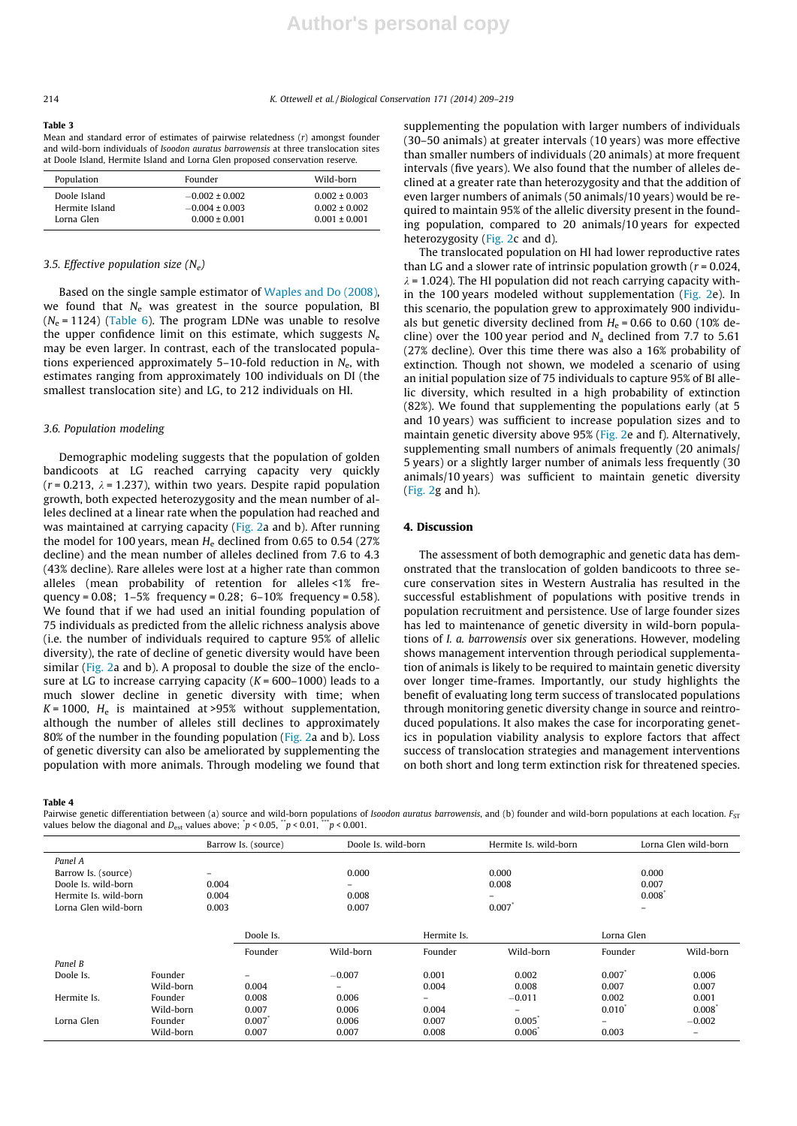#### Table 3

Mean and standard error of estimates of pairwise relatedness (r) amongst founder and wild-born individuals of Isoodon auratus barrowensis at three translocation sites at Doole Island, Hermite Island and Lorna Glen proposed conservation reserve.

| Population     | Founder            | Wild-born         |
|----------------|--------------------|-------------------|
| Doole Island   | $-0.002 \pm 0.002$ | $0.002 \pm 0.003$ |
| Hermite Island | $-0.004 \pm 0.003$ | $0.002 \pm 0.002$ |
| Lorna Glen     | $0.000 \pm 0.001$  | $0.001 \pm 0.001$ |

#### 3.5. Effective population size  $(N_e)$

Based on the single sample estimator of Waples and Do (2008), we found that  $N_e$  was greatest in the source population, BI  $(N_e = 1124)$  (Table 6). The program LDNe was unable to resolve the upper confidence limit on this estimate, which suggests  $N_e$ may be even larger. In contrast, each of the translocated populations experienced approximately 5–10-fold reduction in  $N_{e}$ , with estimates ranging from approximately 100 individuals on DI (the smallest translocation site) and LG, to 212 individuals on HI.

## 3.6. Population modeling

Demographic modeling suggests that the population of golden bandicoots at LG reached carrying capacity very quickly  $(r = 0.213, \lambda = 1.237)$ , within two years. Despite rapid population growth, both expected heterozygosity and the mean number of alleles declined at a linear rate when the population had reached and was maintained at carrying capacity (Fig. 2a and b). After running the model for 100 years, mean  $H_e$  declined from 0.65 to 0.54 (27%) decline) and the mean number of alleles declined from 7.6 to 4.3 (43% decline). Rare alleles were lost at a higher rate than common alleles (mean probability of retention for alleles <1% frequency =  $0.08$ ;  $1-5$ % frequency =  $0.28$ ;  $6-10$ % frequency =  $0.58$ ). We found that if we had used an initial founding population of 75 individuals as predicted from the allelic richness analysis above (i.e. the number of individuals required to capture 95% of allelic diversity), the rate of decline of genetic diversity would have been similar (Fig. 2a and b). A proposal to double the size of the enclosure at LG to increase carrying capacity  $(K = 600-1000)$  leads to a much slower decline in genetic diversity with time; when  $K = 1000$ ,  $H_e$  is maintained at >95% without supplementation, although the number of alleles still declines to approximately 80% of the number in the founding population (Fig. 2a and b). Loss of genetic diversity can also be ameliorated by supplementing the population with more animals. Through modeling we found that

supplementing the population with larger numbers of individuals (30–50 animals) at greater intervals (10 years) was more effective than smaller numbers of individuals (20 animals) at more frequent intervals (five years). We also found that the number of alleles declined at a greater rate than heterozygosity and that the addition of even larger numbers of animals (50 animals/10 years) would be required to maintain 95% of the allelic diversity present in the founding population, compared to 20 animals/10 years for expected heterozygosity (Fig. 2c and d).

The translocated population on HI had lower reproductive rates than LG and a slower rate of intrinsic population growth  $(r = 0.024, r = 0.024)$  $\lambda$  = 1.024). The HI population did not reach carrying capacity within the 100 years modeled without supplementation (Fig. 2e). In this scenario, the population grew to approximately 900 individuals but genetic diversity declined from  $H_e$  = 0.66 to 0.60 (10% decline) over the 100 year period and  $N_a$  declined from 7.7 to 5.61 (27% decline). Over this time there was also a 16% probability of extinction. Though not shown, we modeled a scenario of using an initial population size of 75 individuals to capture 95% of BI allelic diversity, which resulted in a high probability of extinction (82%). We found that supplementing the populations early (at 5 and 10 years) was sufficient to increase population sizes and to maintain genetic diversity above 95% (Fig. 2e and f). Alternatively, supplementing small numbers of animals frequently (20 animals/ 5 years) or a slightly larger number of animals less frequently (30 animals/10 years) was sufficient to maintain genetic diversity (Fig. 2g and h).

# 4. Discussion

The assessment of both demographic and genetic data has demonstrated that the translocation of golden bandicoots to three secure conservation sites in Western Australia has resulted in the successful establishment of populations with positive trends in population recruitment and persistence. Use of large founder sizes has led to maintenance of genetic diversity in wild-born populations of I. a. barrowensis over six generations. However, modeling shows management intervention through periodical supplementation of animals is likely to be required to maintain genetic diversity over longer time-frames. Importantly, our study highlights the benefit of evaluating long term success of translocated populations through monitoring genetic diversity change in source and reintroduced populations. It also makes the case for incorporating genetics in population viability analysis to explore factors that affect success of translocation strategies and management interventions on both short and long term extinction risk for threatened species.

Table 4

Pairwise genetic differentiation between (a) source and wild-born populations of Isoodon auratus barrowensis, and (b) founder and wild-born populations at each location.  $F_{ST}$ values below the diagonal and  $D_{\text{est}}$  values above;  $\dot{p}$  < 0.05,  $\ddot{p}$  < 0.01,  $\ddot{p}$  < 0.001.

|                       |           |                   | Barrow Is. (source) | Doole Is. wild-born      |             | Hermite Is. wild-born |                          | Lorna Glen wild-born |
|-----------------------|-----------|-------------------|---------------------|--------------------------|-------------|-----------------------|--------------------------|----------------------|
| Panel A               |           |                   |                     |                          |             |                       |                          |                      |
| Barrow Is. (source)   |           | $\qquad \qquad =$ |                     | 0.000                    |             | 0.000                 | 0.000                    |                      |
| Doole Is, wild-born   |           | 0.004             |                     | $\equiv$                 |             | 0.008                 | 0.007                    |                      |
| Hermite Is, wild-born |           | 0.004             |                     | 0.008                    |             | $\equiv$              | 0.008                    |                      |
| Lorna Glen wild-born  |           | 0.003             |                     | 0.007                    |             | 0.007                 | $\overline{\phantom{0}}$ |                      |
|                       |           |                   |                     |                          |             |                       |                          |                      |
|                       |           |                   | Doole Is.           |                          | Hermite Is. |                       | Lorna Glen               |                      |
|                       |           |                   | Founder             | Wild-born                | Founder     | Wild-born             | Founder                  | Wild-born            |
| Panel B               |           |                   |                     |                          |             |                       |                          |                      |
| Doole Is.             | Founder   |                   | -                   | $-0.007$                 | 0.001       | 0.002                 | 0.007                    | 0.006                |
|                       | Wild-born |                   | 0.004               | $\overline{\phantom{0}}$ | 0.004       | 0.008                 | 0.007                    | 0.007                |
| Hermite Is.           | Founder   |                   | 0.008               | 0.006                    | -           | $-0.011$              | 0.002                    | 0.001                |
|                       | Wild-born |                   | 0.007               | 0.006                    | 0.004       |                       | $0.010^{\degree}$        | 0.008                |
| Lorna Glen            | Founder   |                   | 0.007               | 0.006                    | 0.007       | 0.005                 | $\equiv$                 | $-0.002$             |
|                       | Wild-born |                   | 0.007               | 0.007                    | 0.008       | 0.006                 | 0.003                    | -                    |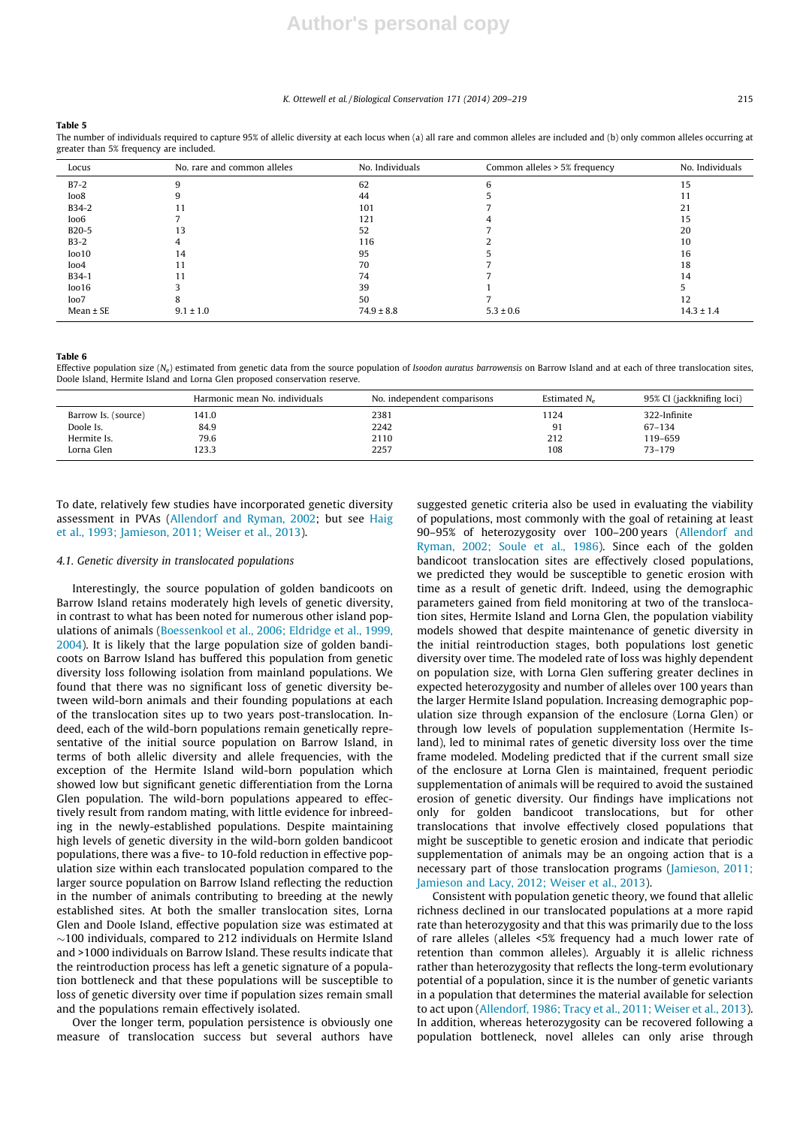#### Table 5

| Locus              | No. rare and common alleles | No. Individuals | Common alleles > 5% frequency | No. Individuals |
|--------------------|-----------------------------|-----------------|-------------------------------|-----------------|
| $B7-2$             | q                           | 62              |                               | 15              |
| Ioo8               |                             | 44              |                               |                 |
| B34-2              |                             | 101             |                               | 21              |
| Ioo6               |                             | 121             |                               | 15              |
| B <sub>20</sub> -5 | 13                          | 52              |                               | 20              |
| $B3-2$             |                             | 116             |                               | 10              |
| Ioo10              | 14                          | 95              |                               | 16              |
| Ioo4               |                             | 70              |                               | 18              |
| B34-1              | 11                          | 74              |                               | 14              |
| Ioo16              |                             | 39              |                               |                 |
| Ioo7               |                             | 50              |                               | 12              |
| $Mean \pm SE$      | $9.1 \pm 1.0$               | $74.9 \pm 8.8$  | $5.3 \pm 0.6$                 | $14.3 \pm 1.4$  |

The number of individuals required to capture 95% of allelic diversity at each locus when (a) all rare and common alleles are included and (b) only common alleles occurring at greater than 5% frequency are included.

# Table 6

Effective population size ( $N_e$ ) estimated from genetic data from the source population of *Isoodon auratus barrowensis* on Barrow Island and at each of three translocation sites, Doole Island, Hermite Island and Lorna Glen proposed conservation reserve.

| 95% CI (jackknifing loci)<br>Harmonic mean No. individuals<br>No. independent comparisons<br>Estimated $N_e$ |  |
|--------------------------------------------------------------------------------------------------------------|--|
| 2381<br>322-Infinite<br>124<br>141.0<br>Barrow Is. (source)                                                  |  |
| Doole Is.<br>2242<br>84.9<br>91<br>67-134                                                                    |  |
| 79.6<br>2110<br>212<br>Hermite Is.<br>119-659                                                                |  |
| 2257<br>108<br>$73 - 179$<br>123.3<br>Lorna Glen                                                             |  |

To date, relatively few studies have incorporated genetic diversity assessment in PVAs (Allendorf and Ryman, 2002; but see Haig et al., 1993; Jamieson, 2011; Weiser et al., 2013).

# 4.1. Genetic diversity in translocated populations

Interestingly, the source population of golden bandicoots on Barrow Island retains moderately high levels of genetic diversity, in contrast to what has been noted for numerous other island populations of animals (Boessenkool et al., 2006; Eldridge et al., 1999, 2004). It is likely that the large population size of golden bandicoots on Barrow Island has buffered this population from genetic diversity loss following isolation from mainland populations. We found that there was no significant loss of genetic diversity between wild-born animals and their founding populations at each of the translocation sites up to two years post-translocation. Indeed, each of the wild-born populations remain genetically representative of the initial source population on Barrow Island, in terms of both allelic diversity and allele frequencies, with the exception of the Hermite Island wild-born population which showed low but significant genetic differentiation from the Lorna Glen population. The wild-born populations appeared to effectively result from random mating, with little evidence for inbreeding in the newly-established populations. Despite maintaining high levels of genetic diversity in the wild-born golden bandicoot populations, there was a five- to 10-fold reduction in effective population size within each translocated population compared to the larger source population on Barrow Island reflecting the reduction in the number of animals contributing to breeding at the newly established sites. At both the smaller translocation sites, Lorna Glen and Doole Island, effective population size was estimated at  $\sim$ 100 individuals, compared to 212 individuals on Hermite Island and >1000 individuals on Barrow Island. These results indicate that the reintroduction process has left a genetic signature of a population bottleneck and that these populations will be susceptible to loss of genetic diversity over time if population sizes remain small and the populations remain effectively isolated.

Over the longer term, population persistence is obviously one measure of translocation success but several authors have

suggested genetic criteria also be used in evaluating the viability of populations, most commonly with the goal of retaining at least 90–95% of heterozygosity over 100–200 years (Allendorf and Ryman, 2002; Soule et al., 1986). Since each of the golden bandicoot translocation sites are effectively closed populations, we predicted they would be susceptible to genetic erosion with time as a result of genetic drift. Indeed, using the demographic parameters gained from field monitoring at two of the translocation sites, Hermite Island and Lorna Glen, the population viability models showed that despite maintenance of genetic diversity in the initial reintroduction stages, both populations lost genetic diversity over time. The modeled rate of loss was highly dependent on population size, with Lorna Glen suffering greater declines in expected heterozygosity and number of alleles over 100 years than the larger Hermite Island population. Increasing demographic population size through expansion of the enclosure (Lorna Glen) or through low levels of population supplementation (Hermite Island), led to minimal rates of genetic diversity loss over the time frame modeled. Modeling predicted that if the current small size of the enclosure at Lorna Glen is maintained, frequent periodic supplementation of animals will be required to avoid the sustained erosion of genetic diversity. Our findings have implications not only for golden bandicoot translocations, but for other translocations that involve effectively closed populations that might be susceptible to genetic erosion and indicate that periodic supplementation of animals may be an ongoing action that is a necessary part of those translocation programs (Jamieson, 2011; Jamieson and Lacy, 2012; Weiser et al., 2013).

Consistent with population genetic theory, we found that allelic richness declined in our translocated populations at a more rapid rate than heterozygosity and that this was primarily due to the loss of rare alleles (alleles <5% frequency had a much lower rate of retention than common alleles). Arguably it is allelic richness rather than heterozygosity that reflects the long-term evolutionary potential of a population, since it is the number of genetic variants in a population that determines the material available for selection to act upon (Allendorf, 1986; Tracy et al., 2011; Weiser et al., 2013). In addition, whereas heterozygosity can be recovered following a population bottleneck, novel alleles can only arise through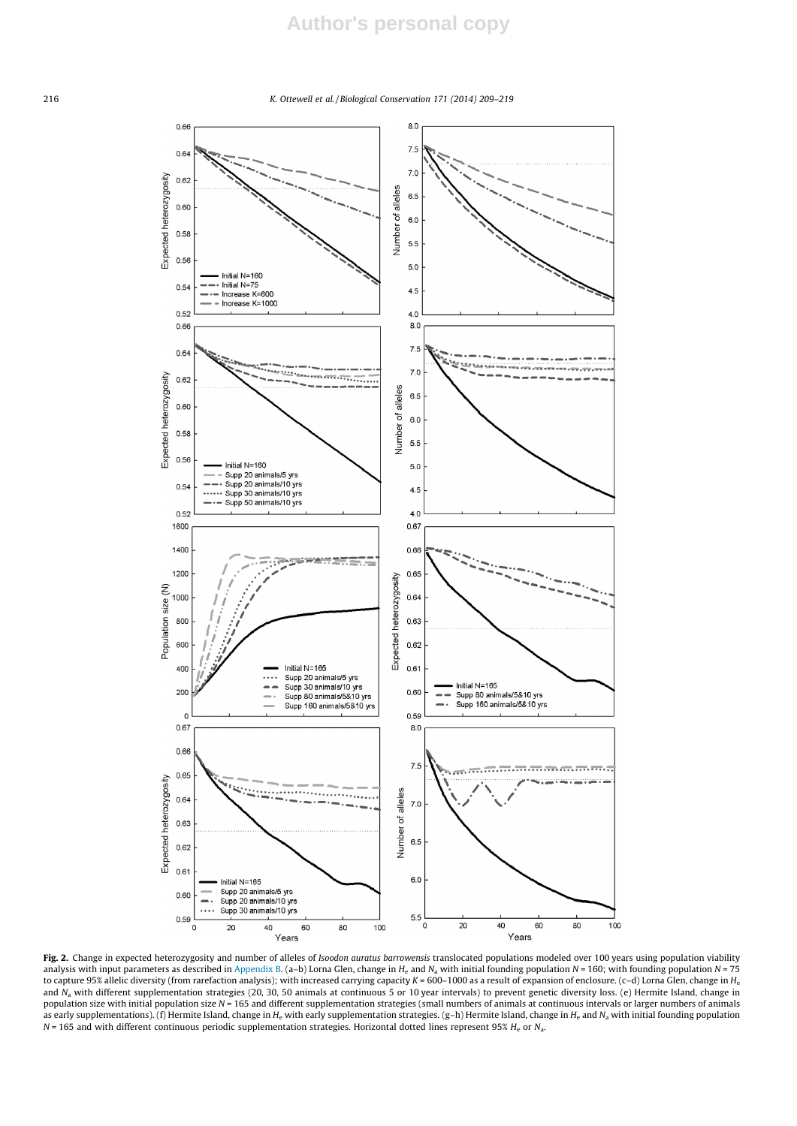216 K. Ottewell et al. / Biological Conservation 171 (2014) 209–219



Fig. 2. Change in expected heterozygosity and number of alleles of Isoodon auratus barrowensis translocated populations modeled over 100 years using population viability analysis with input parameters as described in Appendix B. (a–b) Lorna Glen, change in H<sub>e</sub> and N<sub>a</sub> with initial founding population N = 160; with founding population N = 75 to capture 95% allelic diversity (from rarefaction analysis); with increased carrying capacity K = 600–1000 as a result of expansion of enclosure. (c–d) Lorna Glen, change in H<sub>e</sub> and N<sub>a</sub> with different supplementation strategies (20, 30, 50 animals at continuous 5 or 10 year intervals) to prevent genetic diversity loss. (e) Hermite Island, change in<br>population size with initial population size N = as early supplementations). (f) Hermite Island, change in H<sub>e</sub> with early supplementation strategies. (g-h) Hermite Island, change in H<sub>e</sub> and N<sub>a</sub> with initial founding population  $N = 165$  and with different continuous periodic supplementation strategies. Horizontal dotted lines represent 95%  $H_e$  or  $N_a$ .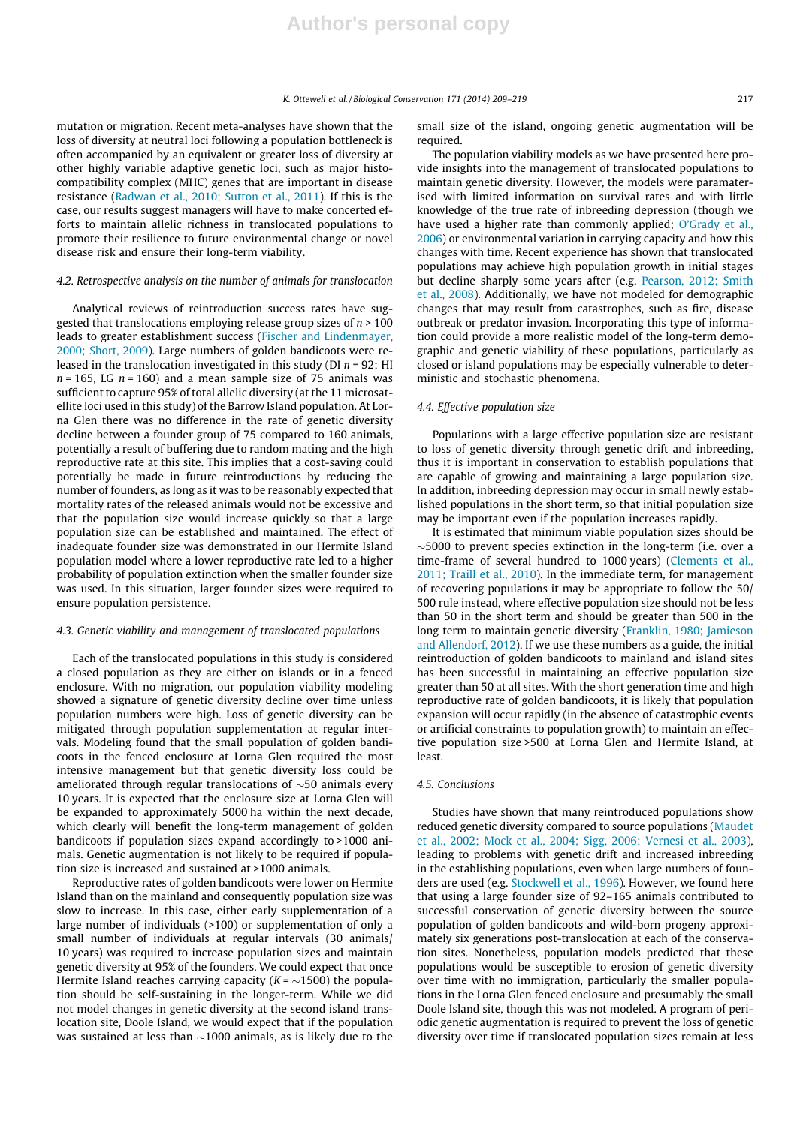mutation or migration. Recent meta-analyses have shown that the loss of diversity at neutral loci following a population bottleneck is often accompanied by an equivalent or greater loss of diversity at other highly variable adaptive genetic loci, such as major histocompatibility complex (MHC) genes that are important in disease resistance (Radwan et al., 2010; Sutton et al., 2011). If this is the case, our results suggest managers will have to make concerted efforts to maintain allelic richness in translocated populations to promote their resilience to future environmental change or novel disease risk and ensure their long-term viability.

## 4.2. Retrospective analysis on the number of animals for translocation

Analytical reviews of reintroduction success rates have suggested that translocations employing release group sizes of  $n > 100$ leads to greater establishment success (Fischer and Lindenmayer, 2000; Short, 2009). Large numbers of golden bandicoots were released in the translocation investigated in this study (DI  $n = 92$ ; HI  $n = 165$ , LG  $n = 160$ ) and a mean sample size of 75 animals was sufficient to capture 95% of total allelic diversity (at the 11 microsatellite loci used in this study) of the Barrow Island population. At Lorna Glen there was no difference in the rate of genetic diversity decline between a founder group of 75 compared to 160 animals, potentially a result of buffering due to random mating and the high reproductive rate at this site. This implies that a cost-saving could potentially be made in future reintroductions by reducing the number of founders, as long as it was to be reasonably expected that mortality rates of the released animals would not be excessive and that the population size would increase quickly so that a large population size can be established and maintained. The effect of inadequate founder size was demonstrated in our Hermite Island population model where a lower reproductive rate led to a higher probability of population extinction when the smaller founder size was used. In this situation, larger founder sizes were required to ensure population persistence.

# 4.3. Genetic viability and management of translocated populations

Each of the translocated populations in this study is considered a closed population as they are either on islands or in a fenced enclosure. With no migration, our population viability modeling showed a signature of genetic diversity decline over time unless population numbers were high. Loss of genetic diversity can be mitigated through population supplementation at regular intervals. Modeling found that the small population of golden bandicoots in the fenced enclosure at Lorna Glen required the most intensive management but that genetic diversity loss could be ameliorated through regular translocations of  ${\sim}50$  animals every 10 years. It is expected that the enclosure size at Lorna Glen will be expanded to approximately 5000 ha within the next decade, which clearly will benefit the long-term management of golden bandicoots if population sizes expand accordingly to >1000 animals. Genetic augmentation is not likely to be required if population size is increased and sustained at >1000 animals.

Reproductive rates of golden bandicoots were lower on Hermite Island than on the mainland and consequently population size was slow to increase. In this case, either early supplementation of a large number of individuals (>100) or supplementation of only a small number of individuals at regular intervals (30 animals/ 10 years) was required to increase population sizes and maintain genetic diversity at 95% of the founders. We could expect that once Hermite Island reaches carrying capacity ( $K = \sim 1500$ ) the population should be self-sustaining in the longer-term. While we did not model changes in genetic diversity at the second island translocation site, Doole Island, we would expect that if the population was sustained at less than  $\sim$ 1000 animals, as is likely due to the

small size of the island, ongoing genetic augmentation will be required.

The population viability models as we have presented here provide insights into the management of translocated populations to maintain genetic diversity. However, the models were paramaterised with limited information on survival rates and with little knowledge of the true rate of inbreeding depression (though we have used a higher rate than commonly applied; O'Grady et al., 2006) or environmental variation in carrying capacity and how this changes with time. Recent experience has shown that translocated populations may achieve high population growth in initial stages but decline sharply some years after (e.g. Pearson, 2012; Smith et al., 2008). Additionally, we have not modeled for demographic changes that may result from catastrophes, such as fire, disease outbreak or predator invasion. Incorporating this type of information could provide a more realistic model of the long-term demographic and genetic viability of these populations, particularly as closed or island populations may be especially vulnerable to deterministic and stochastic phenomena.

#### 4.4. Effective population size

Populations with a large effective population size are resistant to loss of genetic diversity through genetic drift and inbreeding, thus it is important in conservation to establish populations that are capable of growing and maintaining a large population size. In addition, inbreeding depression may occur in small newly established populations in the short term, so that initial population size may be important even if the population increases rapidly.

It is estimated that minimum viable population sizes should be  $\sim$ 5000 to prevent species extinction in the long-term (i.e. over a time-frame of several hundred to 1000 years) (Clements et al., 2011; Traill et al., 2010). In the immediate term, for management of recovering populations it may be appropriate to follow the 50/ 500 rule instead, where effective population size should not be less than 50 in the short term and should be greater than 500 in the long term to maintain genetic diversity (Franklin, 1980; Jamieson and Allendorf, 2012). If we use these numbers as a guide, the initial reintroduction of golden bandicoots to mainland and island sites has been successful in maintaining an effective population size greater than 50 at all sites. With the short generation time and high reproductive rate of golden bandicoots, it is likely that population expansion will occur rapidly (in the absence of catastrophic events or artificial constraints to population growth) to maintain an effective population size >500 at Lorna Glen and Hermite Island, at least.

# 4.5. Conclusions

Studies have shown that many reintroduced populations show reduced genetic diversity compared to source populations (Maudet et al., 2002; Mock et al., 2004; Sigg, 2006; Vernesi et al., 2003), leading to problems with genetic drift and increased inbreeding in the establishing populations, even when large numbers of founders are used (e.g. Stockwell et al., 1996). However, we found here that using a large founder size of 92–165 animals contributed to successful conservation of genetic diversity between the source population of golden bandicoots and wild-born progeny approximately six generations post-translocation at each of the conservation sites. Nonetheless, population models predicted that these populations would be susceptible to erosion of genetic diversity over time with no immigration, particularly the smaller populations in the Lorna Glen fenced enclosure and presumably the small Doole Island site, though this was not modeled. A program of periodic genetic augmentation is required to prevent the loss of genetic diversity over time if translocated population sizes remain at less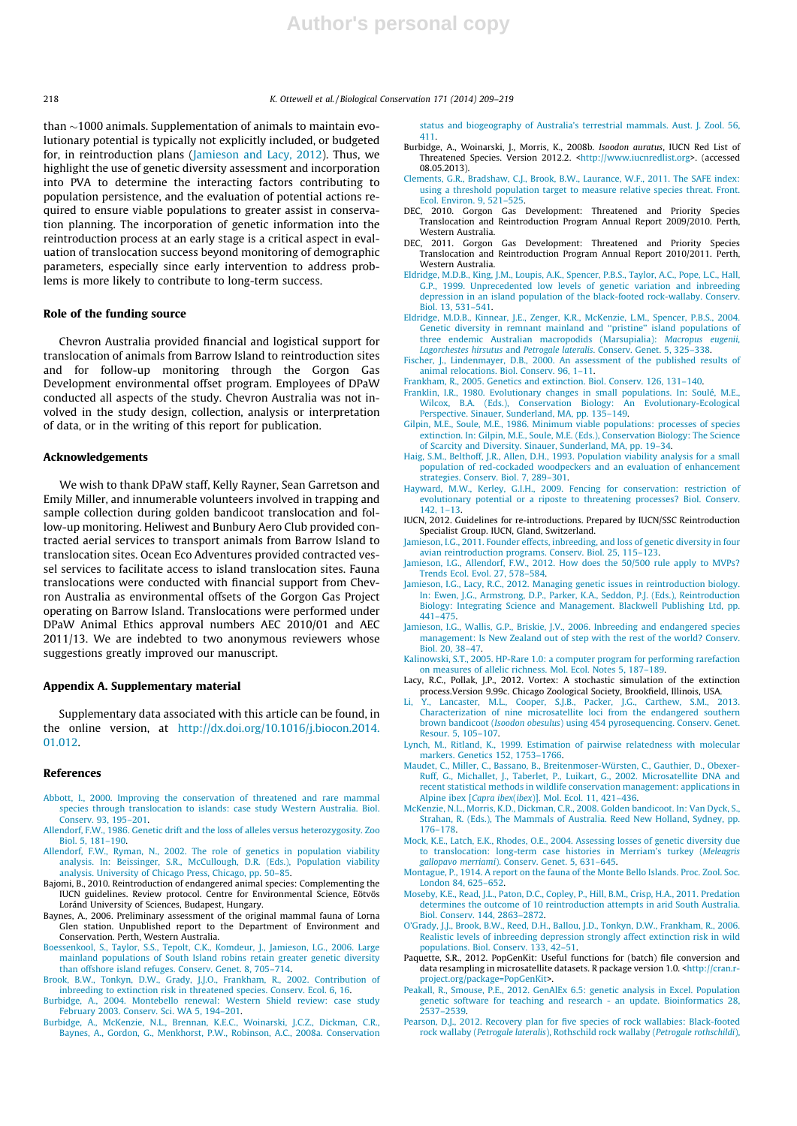than  $\sim$ 1000 animals. Supplementation of animals to maintain evolutionary potential is typically not explicitly included, or budgeted for, in reintroduction plans (Jamieson and Lacy, 2012). Thus, we highlight the use of genetic diversity assessment and incorporation into PVA to determine the interacting factors contributing to population persistence, and the evaluation of potential actions required to ensure viable populations to greater assist in conservation planning. The incorporation of genetic information into the reintroduction process at an early stage is a critical aspect in evaluation of translocation success beyond monitoring of demographic parameters, especially since early intervention to address problems is more likely to contribute to long-term success.

## Role of the funding source

Chevron Australia provided financial and logistical support for translocation of animals from Barrow Island to reintroduction sites and for follow-up monitoring through the Gorgon Gas Development environmental offset program. Employees of DPaW conducted all aspects of the study. Chevron Australia was not involved in the study design, collection, analysis or interpretation of data, or in the writing of this report for publication.

# Acknowledgements

We wish to thank DPaW staff, Kelly Rayner, Sean Garretson and Emily Miller, and innumerable volunteers involved in trapping and sample collection during golden bandicoot translocation and follow-up monitoring. Heliwest and Bunbury Aero Club provided contracted aerial services to transport animals from Barrow Island to translocation sites. Ocean Eco Adventures provided contracted vessel services to facilitate access to island translocation sites. Fauna translocations were conducted with financial support from Chevron Australia as environmental offsets of the Gorgon Gas Project operating on Barrow Island. Translocations were performed under DPaW Animal Ethics approval numbers AEC 2010/01 and AEC 2011/13. We are indebted to two anonymous reviewers whose suggestions greatly improved our manuscript.

# Appendix A. Supplementary material

Supplementary data associated with this article can be found, in the online version, at http://dx.doi.org/10.1016/j.biocon.2014. 01.012.

## References

- Abbott, I., 2000. Improving the conservation of threatened and rare mammal species through translocation to islands: case study Western Australia. Biol. Conserv. 93, 195–201.
- Allendorf, F.W., 1986. Genetic drift and the loss of alleles versus heterozygosity. Zoo Biol. 5, 181–190.
- Allendorf, F.W., Ryman, N., 2002. The role of genetics in population viability analysis. In: Beissinger, S.R., McCullough, D.R. (Eds.), Population viability analysis. University of Chicago Press, Chicago, pp. 50–85.
- Bajomi, B., 2010. Reintroduction of endangered animal species: Complementing the IUCN guidelines. Review protocol. Centre for Environmental Science, Eötvös Loránd University of Sciences, Budapest, Hungary.
- Baynes, A., 2006. Preliminary assessment of the original mammal fauna of Lorna Glen station. Unpublished report to the Department of Environment and Conservation. Perth, Western Australia.
- Boessenkool, S., Taylor, S.S., Tepolt, C.K., Komdeur, J., Jamieson, I.G., 2006. Large mainland populations of South Island robins retain greater genetic diversity than offshore island refuges. Conserv. Genet. 8, 705–714.
- Brook, B.W., Tonkyn, D.W., Grady, J.J.O., Frankham, R., 2002. Contribution of inbreeding to extinction risk in threatened species. Conserv. Ecol. 6, 16.
- Burbidge, A., 2004. Montebello renewal: Western Shield review: case study February 2003. Conserv. Sci. WA 5, 194–201.
- Burbidge, A., McKenzie, N.L., Brennan, K.E.C., Woinarski, J.C.Z., Dickman, C.R., Baynes, A., Gordon, G., Menkhorst, P.W., Robinson, A.C., 2008a. Conservation

status and biogeography of Australia's terrestrial mammals. Aust. J. Zool. 56, 411.

- Burbidge, A., Woinarski, J., Morris, K., 2008b. Isoodon auratus, IUCN Red List of Threatened Species. Version 2012.2. <http://www.iucnredlist.org>. (accessed 08.05.2013).
- Clements, G.R., Bradshaw, C.J., Brook, B.W., Laurance, W.F., 2011. The SAFE index: using a threshold population target to measure relative species threat. Front. Ecol. Environ. 9, 521–525.
- DEC, 2010. Gorgon Gas Development: Threatened and Priority Species Translocation and Reintroduction Program Annual Report 2009/2010. Perth, Western Australia.
- DEC, 2011. Gorgon Gas Development: Threatened and Priority Species Translocation and Reintroduction Program Annual Report 2010/2011. Perth, Western Australia.
- Eldridge, M.D.B., King, J.M., Loupis, A.K., Spencer, P.B.S., Taylor, A.C., Pope, L.C., Hall, G.P., 1999. Unprecedented low levels of genetic variation and inbreeding depression in an island population of the black-footed rock-wallaby. Conserv. Biol. 13, 531–541.
- Eldridge, M.D.B., Kinnear, J.E., Zenger, K.R., McKenzie, L.M., Spencer, P.B.S., 2004. Genetic diversity in remnant mainland and ''pristine'' island populations of three endemic Australian macropodids (Marsupialia): Macropus eugenii, Lagorchestes hirsutus and Petrogale lateralis. Conserv. Genet. 5, 325–338.
- Fischer, J., Lindenmayer, D.B., 2000. An assessment of the published results of animal relocations. Biol. Conserv. 96, 1–11.
- Frankham, R., 2005. Genetics and extinction. Biol. Conserv. 126, 131–140.
- Franklin, I.R., 1980. Evolutionary changes in small populations. In: Soulé, M.E., Wilcox, B.A. (Eds.), Conservation Biology: An Evolutionary-Ecological Perspective. Sinauer, Sunderland, MA, pp. 135–149.
- Gilpin, M.E., Soule, M.E., 1986. Minimum viable populations: processes of species extinction. In: Gilpin, M.E., Soule, M.E. (Eds.), Conservation Biology: The Science of Scarcity and Diversity. Sinauer, Sunderland, MA, pp. 19–34.
- Haig, S.M., Belthoff, J.R., Allen, D.H., 1993. Population viability analysis for a small population of red-cockaded woodpeckers and an evaluation of enhancement strategies. Conserv. Biol. 7, 289–301.
- Hayward, M.W., Kerley, G.I.H., 2009. Fencing for conservation: restriction of evolutionary potential or a riposte to threatening processes? Biol. Conserv. 142, 1–13.
- IUCN, 2012. Guidelines for re-introductions. Prepared by IUCN/SSC Reintroduction Specialist Group. IUCN, Gland, Switzerland.
- Jamieson, I.G., 2011. Founder effects, inbreeding, and loss of genetic diversity in four avian reintroduction programs. Conserv. Biol. 25, 115–123.
- Jamieson, I.G., Allendorf, F.W., 2012. How does the 50/500 rule apply to MVPs? Trends Ecol. Evol. 27, 578–584.
- Jamieson, I.G., Lacy, R.C., 2012. Managing genetic issues in reintroduction biology. In: Ewen, J.G., Armstrong, D.P., Parker, K.A., Seddon, P.J. (Eds.), Reintroduction Biology: Integrating Science and Management. Blackwell Publishing Ltd, pp. 441–475.
- Jamieson, I.G., Wallis, G.P., Briskie, J.V., 2006. Inbreeding and endangered species management: Is New Zealand out of step with the rest of the world? Conserv. Biol. 20, 38–47.
- Kalinowski, S.T., 2005. HP-Rare 1.0: a computer program for performing rarefaction on measures of allelic richness. Mol. Ecol. Notes 5, 187–189.
- Lacy, R.C., Pollak, J.P., 2012. Vortex: A stochastic simulation of the extinction process.Version 9.99c. Chicago Zoological Society, Brookfield, Illinois, USA.
- Li, Y., Lancaster, M.L., Cooper, S.J.B., Packer, J.G., Carthew, S.M., 2013. Characterization of nine microsatellite loci from the endangered southern brown bandicoot (Isoodon obesulus) using 454 pyrosequencing. Conserv. Genet. Resour. 5, 105–107.
- Lynch, M., Ritland, K., 1999. Estimation of pairwise relatedness with molecular markers. Genetics 152, 1753–1766.
- Maudet, C., Miller, C., Bassano, B., Breitenmoser-Würsten, C., Gauthier, D., Obexer-Ruff, G., Michallet, J., Taberlet, P., Luikart, G., 2002. Microsatellite DNA and recent statistical methods in wildlife conservation management: applications in Alpine ibex [Capra ibex(ibex)]. Mol. Ecol. 11, 421–436.
- McKenzie, N.L., Morris, K.D., Dickman, C.R., 2008. Golden bandicoot. In: Van Dyck, S., Strahan, R. (Eds.), The Mammals of Australia. Reed New Holland, Sydney, pp. 176–178.
- Mock, K.E., Latch, E.K., Rhodes, O.E., 2004. Assessing losses of genetic diversity due to translocation: long-term case histories in Merriam's turkey (Meleagris gallopavo merriami). Conserv. Genet. 5, 631–645.
- Montague, P., 1914. A report on the fauna of the Monte Bello Islands. Proc. Zool. Soc. London 84, 625–652.
- Moseby, K.E., Read, J.L., Paton, D.C., Copley, P., Hill, B.M., Crisp, H.A., 2011. Predation determines the outcome of 10 reintroduction attempts in arid South Australia. Biol. Conserv. 144, 2863–2872.
- O'Grady, J.J., Brook, B.W., Reed, D.H., Ballou, J.D., Tonkyn, D.W., Frankham, R., 2006. Realistic levels of inbreeding depression strongly affect extinction risk in wild populations. Biol. Conserv. 133, 42–51.
- Paquette, S.R., 2012. PopGenKit: Useful functions for (batch) file conversion and data resampling in microsatellite datasets. R package version 1.0. <http://cran.rproject.org/package=PopGenKit>.
- Peakall, R., Smouse, P.E., 2012. GenAlEx 6.5: genetic analysis in Excel. Population genetic software for teaching and research - an update. Bioinformatics 28, 2537–2539.
- Pearson, D.J., 2012. Recovery plan for five species of rock wallabies: Black-footed rock wallaby (Petrogale lateralis), Rothschild rock wallaby (Petrogale rothschildi),